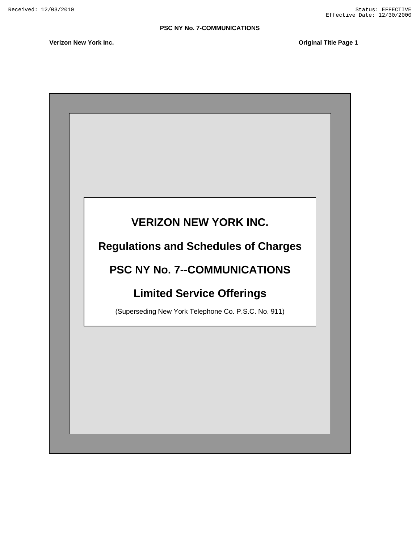**Verizon New York Inc. Consumer Structure 1 and 2** and 2 and 2 and 2 and 2 and 2 and 2 and 2 and 2 and 2 and 2 and 2 and 2 and 2 and 2 and 2 and 2 and 2 and 2 and 2 and 2 and 2 and 2 and 2 and 2 and 2 and 2 and 2 and 2 a

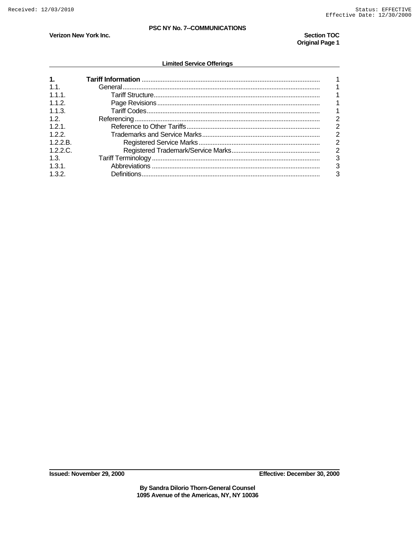**Section TOC Original Page 1** 

# Verizon New York Inc.

#### **Limited Service Offerings**

| $\mathbf{1}$ . |  |
|----------------|--|
| 11             |  |
| 111            |  |
| 112            |  |
| 113            |  |
| 1.2.           |  |
| 121            |  |
| 122            |  |
| 1.2.2 B        |  |
| $1.2.2 \Omega$ |  |
| 1.3.           |  |
| 1.31           |  |
| 1.3.2.         |  |

Effective: December 30, 2000

By Sandra Dilorio Thorn-General Counsel<br>1095 Avenue of the Americas, NY, NY 10036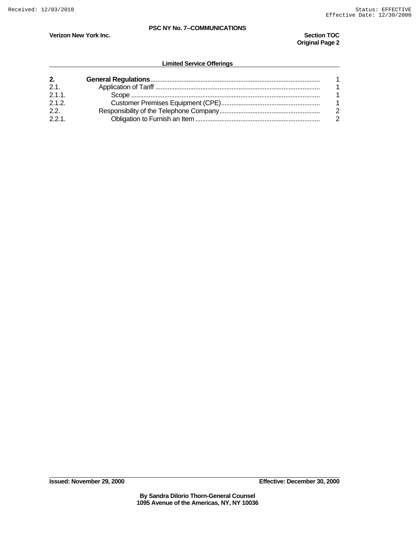**Verizon New York Inc.** Section TOC **Section TOC Original Page 2** 

| 2.    |  |
|-------|--|
| 2.1   |  |
| 2.1.1 |  |
| $212$ |  |
| 22    |  |
| 221   |  |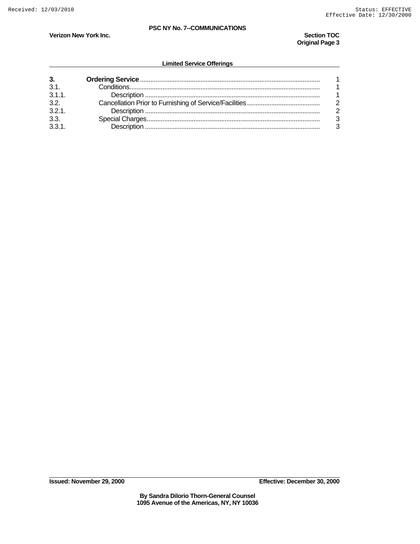**Original Page 3** 

#### **Verizon New York Inc.** Section TOC **Section TOC**

| 3.    |  |
|-------|--|
| 3.1   |  |
| 3.1.1 |  |
| 3.2.  |  |
| 3.2.1 |  |
| 3.3.  |  |
| 3.3.1 |  |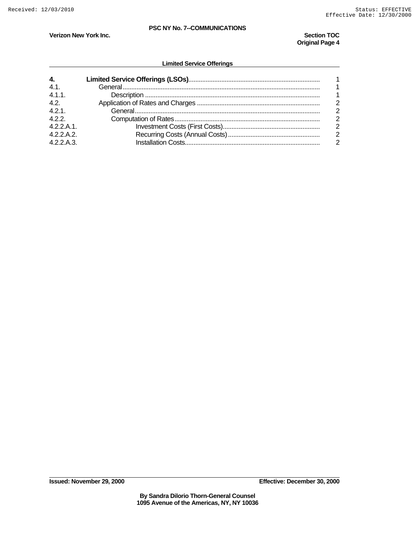**Verizon New York Inc.** Section TOC **Section TOC Original Page 4** 

| $\mathbf{4}$<br>41<br>411<br>4.2.<br>421<br>4.2.2.<br>4.2.2.A.1 |  |
|-----------------------------------------------------------------|--|
| 4.2.2.A.2.                                                      |  |
| 422A3                                                           |  |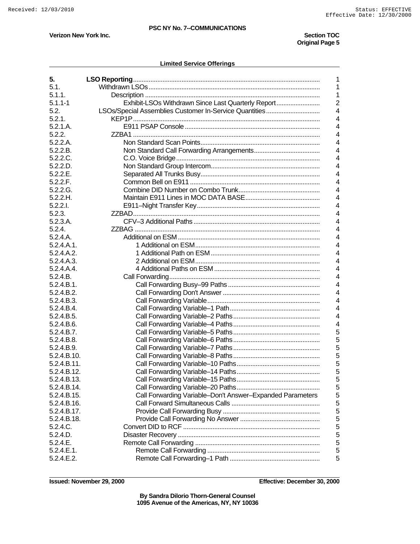**Verizon New York Inc.** Section TOC **Section TOC Original Page 5** 

#### **Limited Service Offerings**

| 5.          | 1                                                                    |
|-------------|----------------------------------------------------------------------|
| 5.1.        | 1                                                                    |
| 5.1.1.      | 1                                                                    |
|             |                                                                      |
| $5.1.1 - 1$ | Exhibit-LSOs Withdrawn Since Last Quarterly Report<br>$\overline{2}$ |
| 5.2.        | LSOs/Special Assemblies Customer In-Service Quantities<br>4          |
| 5.2.1.      | 4                                                                    |
| 5.2.1.A.    | 4                                                                    |
| 5.2.2.      | 4                                                                    |
| 5.2.2.A.    | 4                                                                    |
| 5.2.2.B.    | 4                                                                    |
| 5.2.2.C.    | $\overline{4}$                                                       |
| 5.2.2.D.    | 4                                                                    |
| 5.2.2.E.    | 4                                                                    |
| 5.2.2.F.    | $\overline{4}$                                                       |
| 5.2.2.G.    | 4                                                                    |
| 5.2.2.H.    | 4                                                                    |
| $5.2.2.1$ . | 4                                                                    |
| 5.2.3.      | 4                                                                    |
| 5.2.3.A.    | 4                                                                    |
| 5.2.4.      | 4                                                                    |
| 5.2.4.A.    | 4                                                                    |
| 5.2.4.A.1.  | $\overline{4}$                                                       |
| 5.2.4.A.2.  | 4                                                                    |
| 5.2.4.A.3.  | 4                                                                    |
| 5.2.4.A.4.  | 4                                                                    |
| 5.2.4.B.    | 4                                                                    |
| 5.2.4.B.1.  | 4                                                                    |
|             | 4                                                                    |
| 5.2.4.B.2.  |                                                                      |
| 5.2.4.B.3.  | 4                                                                    |
| 5.2.4.B.4.  | 4                                                                    |
| 5.2.4.B.5.  | 4                                                                    |
| 5.2.4.B.6.  | 4                                                                    |
| 5.2.4.B.7.  | 5                                                                    |
| 5.2.4.B.8.  | 5                                                                    |
| 5.2.4.B.9.  | 5                                                                    |
| 5.2.4.B.10. | 5                                                                    |
| 5.2.4.B.11. | 5                                                                    |
| 5.2.4.B.12. | 5                                                                    |
| 5.2.4.B.13. | 5                                                                    |
| 5.2.4.B.14. | 5                                                                    |
| 5.2.4.B.15. | 5<br>Call Forwarding Variable-Don't Answer-Expanded Parameters       |
| 5.2.4.B.16. | 5                                                                    |
| 5.2.4.B.17. | 5                                                                    |
| 5.2.4.B.18. | 5                                                                    |
| 5.2.4.C.    | 5                                                                    |
| 5.2.4.D.    | 5                                                                    |
| 5.2.4.E.    | 5                                                                    |
| 5.2.4.E.1.  | 5                                                                    |
| 5.2.4.E.2.  | 5                                                                    |
|             |                                                                      |

**Issued: November 29, 2000 Effective: December 30, 2000** 

**By Sandra Dilorio Thorn-General Counsel 1095 Avenue of the Americas, NY, NY 10036**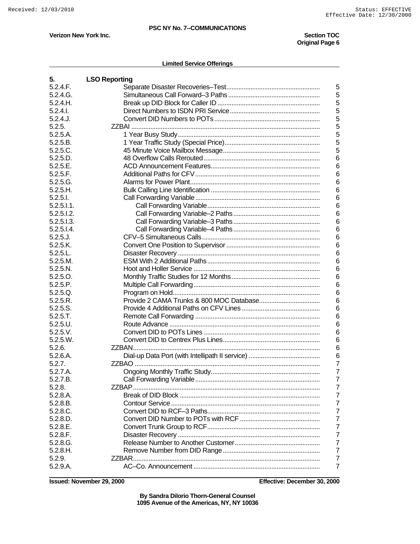**Original Page 6** 

**Verizon New York Inc.** Section TOC **Section TOC** 

#### **Limited Service Offerings**

| 5.                  | <b>LSO Reporting</b>           |
|---------------------|--------------------------------|
| 5.2.4.F.            | 5                              |
| 5.2.4.G.            | 5                              |
| 5.2.4.H.            | 5                              |
| 5.2.4.1             | 5                              |
| 5.2.4J.             | 5                              |
| 5.2.5.              | 5                              |
| 5.2.5.A.            | 5                              |
| 5.2.5.B.            | 5                              |
| 5.2.5.C.            | 5                              |
| 5.2.5.D.            | 6                              |
| 5.2.5.E.            | 6                              |
| 5.2.5.F.            | 6                              |
| 5.2.5.G.            | 6                              |
| 5.2.5.H.            | 6                              |
| $5.2.5.1$ .         | 6                              |
| $5.2.5.1.1$ .       | 6                              |
| 5.2.5.1.2.          | 6                              |
| 5.2.5.1.3.          | 6                              |
| 5.2.5.1.4.          | 6                              |
| $5.2.5.$ J.         | 6                              |
| 5.2.5.K.            | 6                              |
| 5.2.5.L.            | 6                              |
| 5.2.5.M.            | 6                              |
| 5.2.5.N.            | 6                              |
| 5.2.5.0.            | 6                              |
| 5.2.5.P.            | 6                              |
| 5.2.5.Q.            | 6                              |
| 5.2.5.R.            | 6                              |
| 5.2.5.S.            | 6                              |
| 5.2.5.T.            | 6                              |
| 5.2.5.U.            | 6                              |
| 5.2.5.V.            | 6                              |
| $5.2.5 \text{ W}$ . | 6                              |
| 5.2.6.              | 6                              |
| 5.2.6.A.            | 6                              |
| 5.2.7.              | $\overline{7}$                 |
| 5.2.7.A.            | $\overline{7}$                 |
| 5.2.7.B             | 7<br>Call Forwarding Variable. |
| 5.2.8.              | 7                              |
| 5.2.8.A.            | $\overline{7}$                 |
| 5.2.8.B.            | $\overline{7}$                 |
| 5.2.8.C.            | $\overline{7}$                 |
| 5.2.8.D.            | 7                              |
| 5.2.8.E.            | 7                              |
| 5.2.8.F.            | 7                              |
| 5.2.8.G.            | 7                              |
| 5.2.8.H.            | $\overline{7}$                 |
| 5.2.9.              | 7                              |
| 5.2.9.A.            | 7                              |

**Issued: November 29, 2000 Effective: December 30, 2000** 

**By Sandra Dilorio Thorn-General Counsel 1095 Avenue of the Americas, NY, NY 10036**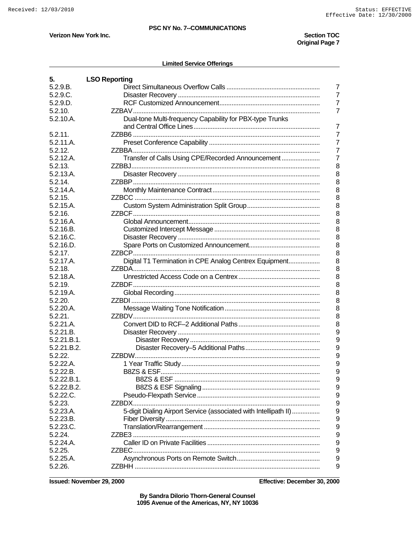Verizon New York Inc.

#### **Section TOC Original Page 7**

#### **Limited Service Offerings**

| 5.          | <b>LSO Reporting</b>                                                  |
|-------------|-----------------------------------------------------------------------|
| 5.2.9.B.    | 7                                                                     |
| 5.2.9.C.    | $\overline{7}$                                                        |
| 5.2.9.D.    | $\overline{7}$                                                        |
| 5.2.10.     | $\overline{7}$                                                        |
| 5.2.10.A.   | Dual-tone Multi-frequency Capability for PBX-type Trunks              |
|             | $\overline{7}$                                                        |
| 5.2.11.     | $\overline{7}$                                                        |
| 5.2.11.A.   | $\overline{7}$                                                        |
| 5.2.12.     | $\overline{7}$                                                        |
|             | $\overline{7}$                                                        |
| 5.2.12.A.   | Transfer of Calls Using CPE/Recorded Announcement<br>8                |
| 5.2.13.     |                                                                       |
| 5.2.13.A.   | 8                                                                     |
| 5.2.14.     | 8                                                                     |
| 5.2.14.A.   | 8                                                                     |
| 5.2.15.     | 8                                                                     |
| 5.2.15.A.   | 8                                                                     |
| 5.2.16.     | 8                                                                     |
| 5.2.16.A.   | 8                                                                     |
| 5.2.16.B.   | 8                                                                     |
| 5.2.16.C.   | 8                                                                     |
| 5.2.16.D.   | 8                                                                     |
| 5.2.17.     | 8<br>ZZBCP.                                                           |
| 5.2.17.A.   | Digital T1 Termination in CPE Analog Centrex Equipment<br>8           |
| 5.2.18.     | 8                                                                     |
| 5.2.18.A.   | 8                                                                     |
| 5.2.19.     | 8                                                                     |
| 5.2.19.A.   | 8                                                                     |
| 5.2.20.     | 8                                                                     |
| 5.2.20.A.   | 8                                                                     |
| $5.2.21$ .  | 8                                                                     |
| 5.2.21.A.   | 8                                                                     |
| 5.2.21.B.   | 9                                                                     |
| 5.2.21.B.1. | 9                                                                     |
| 5.2.21.B.2. | 9                                                                     |
| 5.2.22.     | 9                                                                     |
| 5.2.22.A.   | 9                                                                     |
| 5.2.22.B.   | 9                                                                     |
| 5.2.22.B.1. | 9                                                                     |
|             |                                                                       |
| 5.2.22.B.2. | 9                                                                     |
| 5.2.22.C.   | 9                                                                     |
| 5.2.23.     | 9                                                                     |
| 5.2.23.A.   | 5-digit Dialing Airport Service (associated with Intellipath II)<br>9 |
| 5.2.23.B.   | 9                                                                     |
| 5.2.23.C.   | 9                                                                     |
| 5.2.24.     | 9                                                                     |
| 5.2.24.A.   | 9                                                                     |
| 5.2.25.     | 9                                                                     |
| 5.2.25.A.   | 9                                                                     |
| 5.2.26.     | 9                                                                     |

**Issued: November 29, 2000** 

Effective: December 30, 2000

By Sandra Dilorio Thorn-General Counsel<br>1095 Avenue of the Americas, NY, NY 10036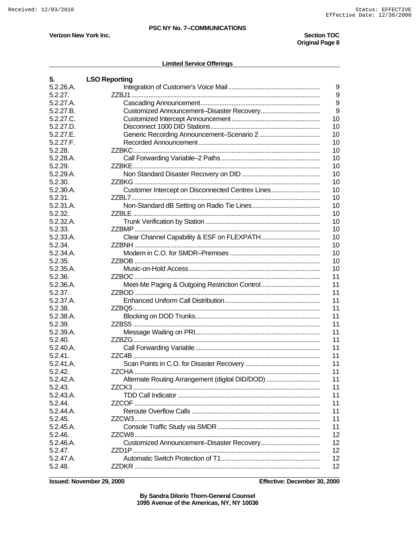Verizon New York Inc.

#### **Section TOC Original Page 8**

#### **Limited Service Offerings**

| 5.        | <b>LSO Reporting</b>                                   |
|-----------|--------------------------------------------------------|
| 5.2.26.A. | 9                                                      |
| 5.2.27.   | 9                                                      |
| 5.2.27.A. | 9                                                      |
| 5.2.27.B. | 9                                                      |
| 5.2.27.C. | 10                                                     |
| 5.2.27.D. | 10                                                     |
| 5.2.27.E. | 10                                                     |
| 5.2.27.F. | 10                                                     |
| 5.2.28.   | 10                                                     |
| 5.2.28.A. | 10                                                     |
| 5.2.29.   | 10                                                     |
| 5.2.29.A. | 10                                                     |
| 5.2.30.   | 10                                                     |
| 5.2.30.A. | Customer Intercept on Disconnected Centrex Lines<br>10 |
| 5.2.31.   | 10                                                     |
| 5.2.31.A. | 10                                                     |
| 5.2.32.   | 10                                                     |
| 5.2.32.A. | 10                                                     |
| 5.2.33.   | 10                                                     |
| 5.2.33.A. | 10                                                     |
| 5.2.34.   | 10                                                     |
| 5.2.34.A. | 10                                                     |
| 5.2.35.   | 10                                                     |
| 5.2.35.A. | 10                                                     |
| 5.2.36.   | 11                                                     |
| 5.2.36.A. | Meet-Me Paging & Outgoing Restriction Control<br>11    |
| 5.2.37.   | 11                                                     |
| 5.2.37.A. | 11                                                     |
| 5.2.38.   | 11                                                     |
| 5.2.38.A. | 11                                                     |
| 5.2.39.   | 11                                                     |
| 5.2.39.A. | 11                                                     |
| 5.2.40.   | 11                                                     |
| 5.2.40.A. | 11                                                     |
| 5.2.41.   | 11                                                     |
| 5.2.41.A. | 11                                                     |
| 5.2.42.   | 11                                                     |
| 5.2.42.A. | Alternate Routing Arrangement (digital DID/DOD)<br>11  |
| 5.2.43.   | 11                                                     |
| 5.2.43.A. | 11                                                     |
| 5.2.44    | 11                                                     |
| 5.2.44.A. | 11                                                     |
| 5.2.45.   | 11                                                     |
| 5.2.45.A. | 11                                                     |
| 5.2.46.   | 12                                                     |
| 5.2.46.A. | 12                                                     |
| 5.2.47.   | 12                                                     |
| 5.2.47.A. | 12                                                     |
| 5.2.48.   | 12 <sup>2</sup>                                        |

**Issued: November 29, 2000** 

Effective: December 30, 2000

By Sandra Dilorio Thorn-General Counsel<br>1095 Avenue of the Americas, NY, NY 10036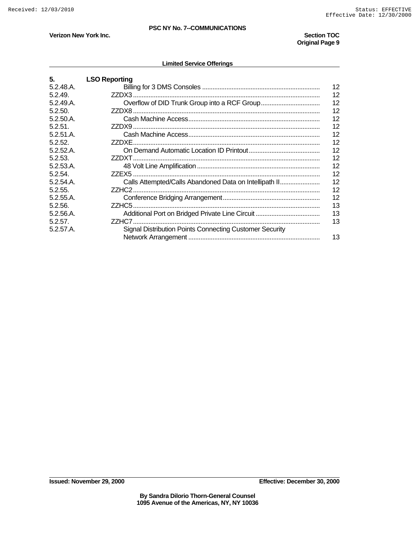## **Verizon New York Inc.** Section TOC **Section TOC**

# **Original Page 9**

| 5.        | <b>LSO Reporting</b>                                    |    |
|-----------|---------------------------------------------------------|----|
| 5.2.48.A. |                                                         | 12 |
| 5.2.49    |                                                         | 12 |
| 5.2.49.A. |                                                         | 12 |
| 5.2.50.   |                                                         | 12 |
| 5.2.50.A. |                                                         | 12 |
| 5.2.51    |                                                         | 12 |
| 5.2.51.A. |                                                         | 12 |
| 5.2.52    | 77DXF -                                                 | 12 |
| 5.2.52.A. |                                                         | 12 |
| 5.2.53.   |                                                         | 12 |
| 5.2.53.A. |                                                         | 12 |
| 5.2.54.   |                                                         | 12 |
| 5.2.54.A. | Calls Attempted/Calls Abandoned Data on Intellipath II  | 12 |
| 5.2.55    |                                                         | 12 |
| 5.2.55.A. |                                                         | 12 |
| 5.2.56.   |                                                         | 13 |
| 5.2.56.A. |                                                         | 13 |
| 5.2.57    |                                                         | 13 |
| 5.2.57.A. | Signal Distribution Points Connecting Customer Security |    |
|           |                                                         | 13 |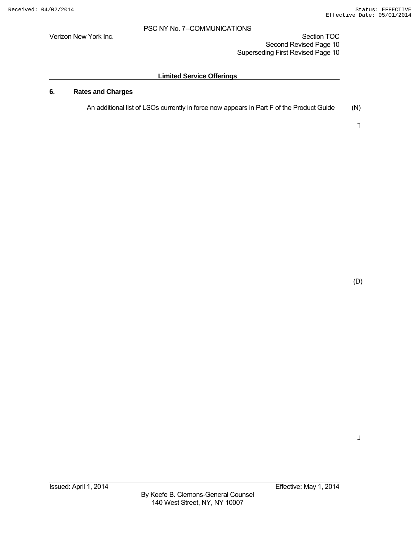Verizon New York Inc. Section TOC New York Inc. Second Revised Page 10 Superseding First Revised Page 10

## **Limited Service Offerings**

## **6. Rates and Charges**

An additional list of LSOs currently in force now appears in Part F of the Product Guide (N)

┐

(D)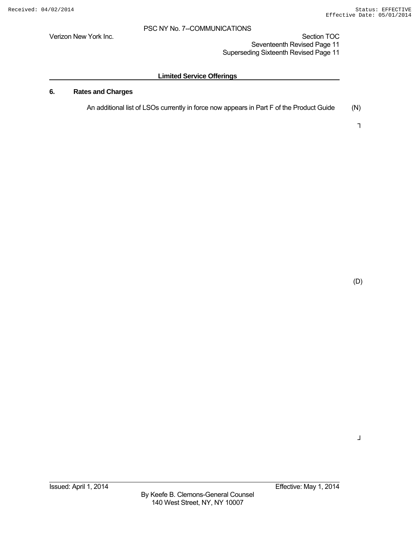Verizon New York Inc. Section TOC New York Inc. Seventeenth Revised Page 11 Superseding Sixteenth Revised Page 11

## **Limited Service Offerings**

## **6. Rates and Charges**

An additional list of LSOs currently in force now appears in Part F of the Product Guide (N)

┐

(D)